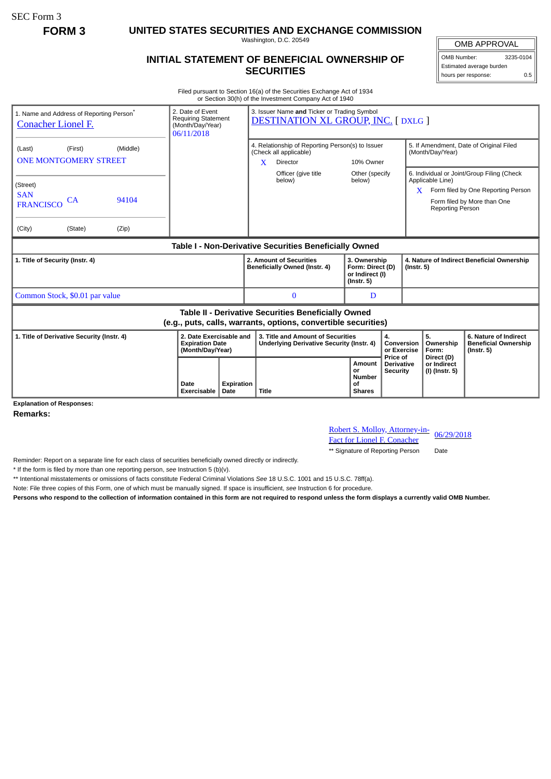SEC Form 3

**FORM 3 UNITED STATES SECURITIES AND EXCHANGE COMMISSION**

Washington, D.C. 20549

## **INITIAL STATEMENT OF BENEFICIAL OWNERSHIP OF SECURITIES**

OMB APPROVAL OMB Number: 3235-0104 Estimated average burden hours per response: 0.5

Filed pursuant to Section 16(a) of the Securities Exchange Act of 1934 or Section 30(h) of the Investment Company Act of 1940

| 1. Name and Address of Reporting Person <sup>®</sup><br><b>Conacher Lionel F.</b>                                     |               |                | 2. Date of Event<br>Requiring Statement<br>(Month/Day/Year)<br>06/11/2018 |                                                                       | 3. Issuer Name and Ticker or Trading Symbol<br><b>DESTINATION XL GROUP, INC. [DXLG ]</b>    |                                                                                       |                                                                         |                                                  |                                                                |                                             |                                                                                                                 |  |
|-----------------------------------------------------------------------------------------------------------------------|---------------|----------------|---------------------------------------------------------------------------|-----------------------------------------------------------------------|---------------------------------------------------------------------------------------------|---------------------------------------------------------------------------------------|-------------------------------------------------------------------------|--------------------------------------------------|----------------------------------------------------------------|---------------------------------------------|-----------------------------------------------------------------------------------------------------------------|--|
| (Middle)<br>(First)<br>(Last)<br><b>ONE MONTGOMERY STREET</b>                                                         |               |                |                                                                           |                                                                       | 4. Relationship of Reporting Person(s) to Issuer<br>(Check all applicable)<br>X<br>Director |                                                                                       | 10% Owner                                                               |                                                  | 5. If Amendment, Date of Original Filed<br>(Month/Day/Year)    |                                             |                                                                                                                 |  |
| (Street)<br><b>SAN</b><br><b>FRANCISCO</b><br>(City)                                                                  | CA<br>(State) | 94104<br>(Zip) |                                                                           |                                                                       |                                                                                             | Officer (give title<br>below)                                                         | Other (specify<br>below)                                                |                                                  | X                                                              | Applicable Line)<br><b>Reporting Person</b> | 6. Individual or Joint/Group Filing (Check<br>Form filed by One Reporting Person<br>Form filed by More than One |  |
| Table I - Non-Derivative Securities Beneficially Owned                                                                |               |                |                                                                           |                                                                       |                                                                                             |                                                                                       |                                                                         |                                                  |                                                                |                                             |                                                                                                                 |  |
| 1. Title of Security (Instr. 4)                                                                                       |               |                |                                                                           |                                                                       | 2. Amount of Securities<br>Beneficially Owned (Instr. 4)                                    |                                                                                       | 3. Ownership<br>Form: Direct (D)<br>or Indirect (I)<br>$($ lnstr. 5 $)$ |                                                  | 4. Nature of Indirect Beneficial Ownership<br>$($ Instr. 5 $)$ |                                             |                                                                                                                 |  |
| Common Stock, \$0.01 par value                                                                                        |               |                |                                                                           |                                                                       |                                                                                             | $\mathbf{0}$<br>D                                                                     |                                                                         |                                                  |                                                                |                                             |                                                                                                                 |  |
| Table II - Derivative Securities Beneficially Owned<br>(e.g., puts, calls, warrants, options, convertible securities) |               |                |                                                                           |                                                                       |                                                                                             |                                                                                       |                                                                         |                                                  |                                                                |                                             |                                                                                                                 |  |
| 1. Title of Derivative Security (Instr. 4)                                                                            |               |                |                                                                           | 2. Date Exercisable and<br><b>Expiration Date</b><br>(Month/Day/Year) |                                                                                             | 3. Title and Amount of Securities<br><b>Underlying Derivative Security (Instr. 4)</b> |                                                                         | 4.<br>Conversion<br>or Exercise                  |                                                                | 5.<br>Ownership<br>Form:                    | 6. Nature of Indirect<br><b>Beneficial Ownership</b><br>$($ Instr. 5 $)$                                        |  |
| Evalanction of Decononces                                                                                             |               |                | Date<br><b>Exercisable</b>                                                | Expiration<br>Date                                                    | <b>Title</b>                                                                                |                                                                                       | <b>Amount</b><br>or<br>Number<br>οf<br><b>Shares</b>                    | Price of<br><b>Derivative</b><br><b>Security</b> |                                                                | Direct (D)<br>or Indirect<br>(I) (Instr. 5) |                                                                                                                 |  |

**Explanation of Responses:**

**Remarks:**

Robert S. Molloy, Attorney-in-<br>Fact for Lionel F. Conacher 06/29/2018

\*\* Signature of Reporting Person Date

Reminder: Report on a separate line for each class of securities beneficially owned directly or indirectly.

\* If the form is filed by more than one reporting person, *see* Instruction 5 (b)(v).

\*\* Intentional misstatements or omissions of facts constitute Federal Criminal Violations *See* 18 U.S.C. 1001 and 15 U.S.C. 78ff(a).

Note: File three copies of this Form, one of which must be manually signed. If space is insufficient, *see* Instruction 6 for procedure.

**Persons who respond to the collection of information contained in this form are not required to respond unless the form displays a currently valid OMB Number.**